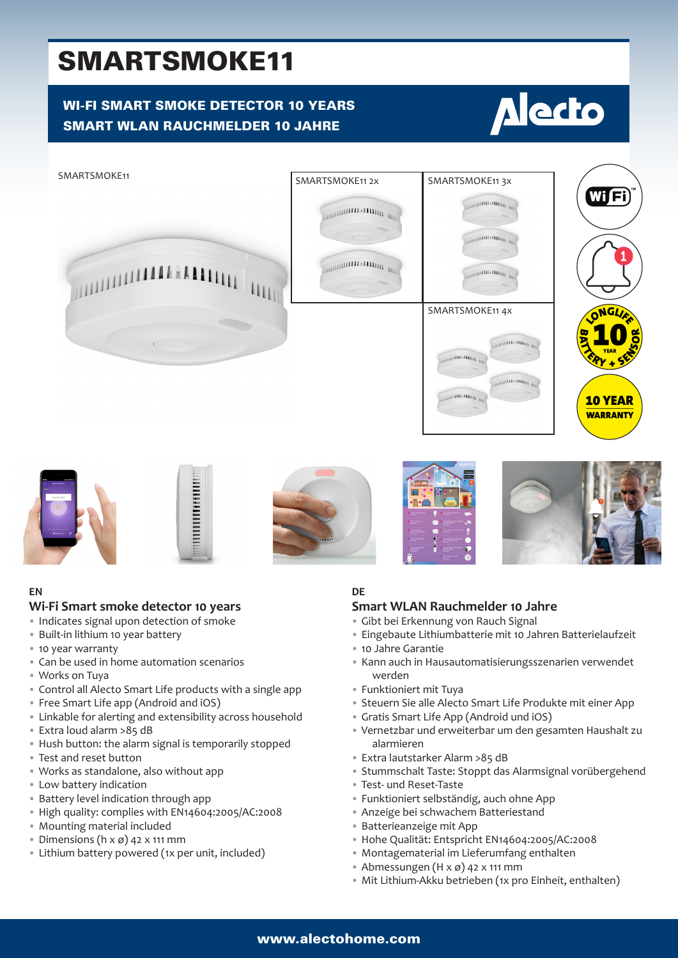## SMARTSMOKE11

### WI-FI SMART SMOKE DETECTOR 10 YEARS SMART WLAN RAUCHMELDER 10 JAHRE

# **Alecto**













#### **EN**

#### **Wi-Fi Smart smoke detector 10 years**

- Indicates signal upon detection of smoke
- Built-in lithium 10 year battery
- 10 year warranty
- Can be used in home automation scenarios
- Works on Tuya
- Control all Alecto Smart Life products with a single app
- Free Smart Life app (Android and iOS)
- Linkable for alerting and extensibility across household
- Extra loud alarm >85 dB
- Hush button: the alarm signal is temporarily stopped
- Test and reset button
- Works as standalone, also without app
- Low battery indication
- Battery level indication through app
- High quality: complies with EN14604:2005/AC:2008
- Mounting material included
- Dimensions ( $h \times g$ ) 42  $\times$  111 mm
- Lithium battery powered (1x per unit, included)

#### **DE**

#### **Smart WLAN Rauchmelder 10 Jahre**

- Gibt bei Erkennung von Rauch Signal
- Eingebaute Lithiumbatterie mit 10 Jahren Batterielaufzeit
- 10 Jahre Garantie
- Kann auch in Hausautomatisierungsszenarien verwendet werden
- Funktioniert mit Tuya
- Steuern Sie alle Alecto Smart Life Produkte mit einer App
- Gratis Smart Life App (Android und iOS)
- Vernetzbar und erweiterbar um den gesamten Haushalt zu alarmieren
- Extra lautstarker Alarm >85 dB
- Stummschalt Taste: Stoppt das Alarmsignal vorübergehend
- Test- und Reset-Taste
- Funktioniert selbständig, auch ohne App
- Anzeige bei schwachem Batteriestand
- Batterieanzeige mit App
- Hohe Qualität: Entspricht EN14604:2005/AC:2008
- Montagematerial im Lieferumfang enthalten
- Abmessungen  $(H \times \emptyset)$  42 x 111 mm
- Mit Lithium-Akku betrieben (1x pro Einheit, enthalten)